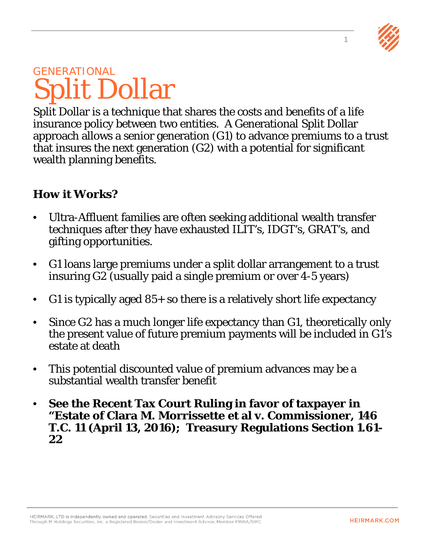

### **GENERATIONAL** Split Dollar

Split Dollar is a technique that shares the costs and benefits of a life insurance policy between two entities. A Generational Split Dollar approach allows a senior generation (G1) to advance premiums to a trust that insures the next generation (G2) with a potential for significant wealth planning benefits.

#### **How it Works?**

- Ultra-Affluent families are often seeking additional wealth transfer techniques after they have exhausted ILIT's, IDGT's, GRAT's, and gifting opportunities.
- G1 loans large premiums under a split dollar arrangement to a trust insuring G2 (usually paid a single premium or over 4-5 years)
- G1 is typically aged  $85+$  so there is a relatively short life expectancy
- Since G2 has a much longer life expectancy than G1, theoretically only the present value of future premium payments will be included in G1's estate at death
- This potential discounted value of premium advances may be a substantial wealth transfer benefit
- **See the Recent Tax Court Ruling in favor of taxpayer in "Estate of Clara M. Morrissette et al v. Commissioner, 146 T.C. 11 (April 13, 2016); Treasury Regulations Section 1.61- 22**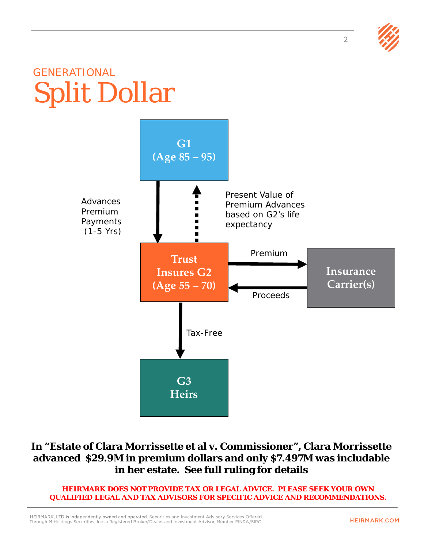

## GENERATIONAL Split Dollar



#### **In "Estate of Clara Morrissette et al v. Commissioner", Clara Morrissette advanced \$29.9M in premium dollars and only \$7.497M was includable in her estate. See full ruling for details**

**HEIRMARK DOES NOT PROVIDE TAX OR LEGAL ADVICE. PLEASE SEEK YOUR OWN QUALIFIED LEGAL AND TAX ADVISORS FOR SPECIFIC ADVICE AND RECOMMENDATIONS.**